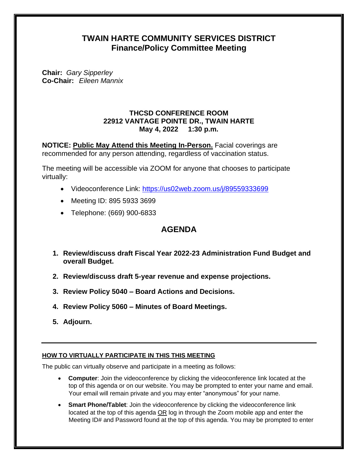# **TWAIN HARTE COMMUNITY SERVICES DISTRICT Finance/Policy Committee Meeting**

**Chair:** *Gary Sipperley*  **Co-Chair:** *Eileen Mannix* 

### **THCSD CONFERENCE ROOM 22912 VANTAGE POINTE DR., TWAIN HARTE May 4, 2022 1:30 p.m.**

**NOTICE: Public May Attend this Meeting In-Person.** Facial coverings are recommended for any person attending, regardless of vaccination status.

The meeting will be accessible via ZOOM for anyone that chooses to participate virtually:

- Videoconference Link: <https://us02web.zoom.us/j/89559333699>
- Meeting ID: 895 5933 3699
- Telephone: (669) 900-6833

# **AGENDA**

- **1. Review/discuss draft Fiscal Year 2022-23 Administration Fund Budget and overall Budget.**
- **2. Review/discuss draft 5-year revenue and expense projections.**
- **3. Review Policy 5040 – Board Actions and Decisions.**
- **4. Review Policy 5060 – Minutes of Board Meetings.**
- **5. Adjourn.**

## **HOW TO VIRTUALLY PARTICIPATE IN THIS THIS MEETING**

The public can virtually observe and participate in a meeting as follows:

- **Computer**: Join the videoconference by clicking the videoconference link located at the top of this agenda or on our website. You may be prompted to enter your name and email. Your email will remain private and you may enter "anonymous" for your name.
- **Smart Phone/Tablet**: Join the videoconference by clicking the videoconference link located at the top of this agenda OR log in through the Zoom mobile app and enter the Meeting ID# and Password found at the top of this agenda. You may be prompted to enter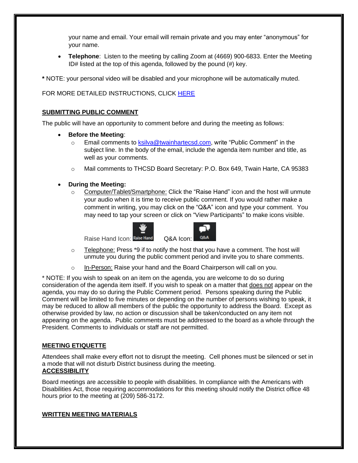your name and email. Your email will remain private and you may enter "anonymous" for your name.

• **Telephone**: Listen to the meeting by calling Zoom at (4669) 900-6833. Enter the Meeting ID# listed at the top of this agenda, followed by the pound (#) key.

**\*** NOTE: your personal video will be disabled and your microphone will be automatically muted.

FOR MORE DETAILED INSTRUCTIONS, CLICK [HERE](https://www.twainhartecsd.com/files/81b7e7864/How+To+Use+Zoom.pdf)

### **SUBMITTING PUBLIC COMMENT**

The public will have an opportunity to comment before and during the meeting as follows:

- **Before the Meeting**:
	- $\circ$  Email comments to [ksilva@twainhartecsd.com,](mailto:ksilva@twainhartecsd.com) write "Public Comment" in the subject line. In the body of the email, include the agenda item number and title, as well as your comments.
	- o Mail comments to THCSD Board Secretary: P.O. Box 649, Twain Harte, CA 95383
- **During the Meeting:**
	- $\circ$  Computer/Tablet/Smartphone: Click the "Raise Hand" icon and the host will unmute your audio when it is time to receive public comment. If you would rather make a comment in writing, you may click on the "Q&A" icon and type your comment. You may need to tap your screen or click on "View Participants" to make icons visible.





- $\circ$  Telephone: Press \*9 if to notify the host that you have a comment. The host will unmute you during the public comment period and invite you to share comments.
- o In-Person: Raise your hand and the Board Chairperson will call on you.

\* NOTE: If you wish to speak on an item on the agenda, you are welcome to do so during consideration of the agenda item itself. If you wish to speak on a matter that does not appear on the agenda, you may do so during the Public Comment period. Persons speaking during the Public Comment will be limited to five minutes or depending on the number of persons wishing to speak, it may be reduced to allow all members of the public the opportunity to address the Board. Except as otherwise provided by law, no action or discussion shall be taken/conducted on any item not appearing on the agenda. Public comments must be addressed to the board as a whole through the President. Comments to individuals or staff are not permitted.

#### **MEETING ETIQUETTE**

Attendees shall make every effort not to disrupt the meeting. Cell phones must be silenced or set in a mode that will not disturb District business during the meeting. **ACCESSIBILITY**

Board meetings are accessible to people with disabilities. In compliance with the Americans with Disabilities Act, those requiring accommodations for this meeting should notify the District office 48 hours prior to the meeting at (209) 586-3172.

#### **WRITTEN MEETING MATERIALS**